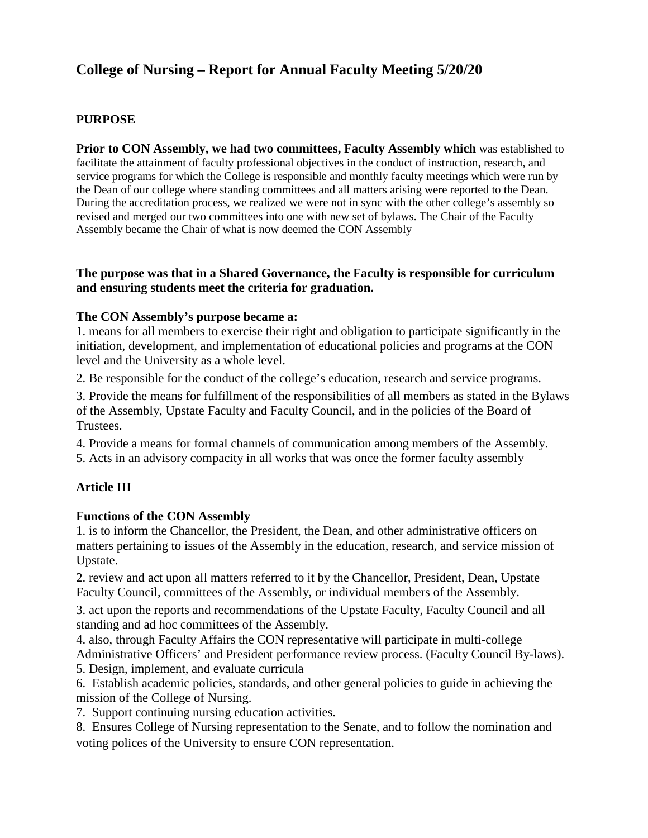# **College of Nursing – Report for Annual Faculty Meeting 5/20/20**

### **PURPOSE**

**Prior to CON Assembly, we had two committees, Faculty Assembly which** was established to facilitate the attainment of faculty professional objectives in the conduct of instruction, research, and service programs for which the College is responsible and monthly faculty meetings which were run by the Dean of our college where standing committees and all matters arising were reported to the Dean. During the accreditation process, we realized we were not in sync with the other college's assembly so revised and merged our two committees into one with new set of bylaws. The Chair of the Faculty Assembly became the Chair of what is now deemed the CON Assembly

### **The purpose was that in a Shared Governance, the Faculty is responsible for curriculum and ensuring students meet the criteria for graduation.**

#### **The CON Assembly's purpose became a:**

1. means for all members to exercise their right and obligation to participate significantly in the initiation, development, and implementation of educational policies and programs at the CON level and the University as a whole level.

2. Be responsible for the conduct of the college's education, research and service programs.

3. Provide the means for fulfillment of the responsibilities of all members as stated in the Bylaws of the Assembly, Upstate Faculty and Faculty Council, and in the policies of the Board of Trustees.

4. Provide a means for formal channels of communication among members of the Assembly.

5. Acts in an advisory compacity in all works that was once the former faculty assembly

### **Article III**

### **Functions of the CON Assembly**

1. is to inform the Chancellor, the President, the Dean, and other administrative officers on matters pertaining to issues of the Assembly in the education, research, and service mission of Upstate.

2. review and act upon all matters referred to it by the Chancellor, President, Dean, Upstate Faculty Council, committees of the Assembly, or individual members of the Assembly.

3. act upon the reports and recommendations of the Upstate Faculty, Faculty Council and all standing and ad hoc committees of the Assembly.

4. also, through Faculty Affairs the CON representative will participate in multi-college Administrative Officers' and President performance review process. (Faculty Council By-laws).

5. Design, implement, and evaluate curricula

6. Establish academic policies, standards, and other general policies to guide in achieving the mission of the College of Nursing.

7. Support continuing nursing education activities.

8. Ensures College of Nursing representation to the Senate, and to follow the nomination and voting polices of the University to ensure CON representation.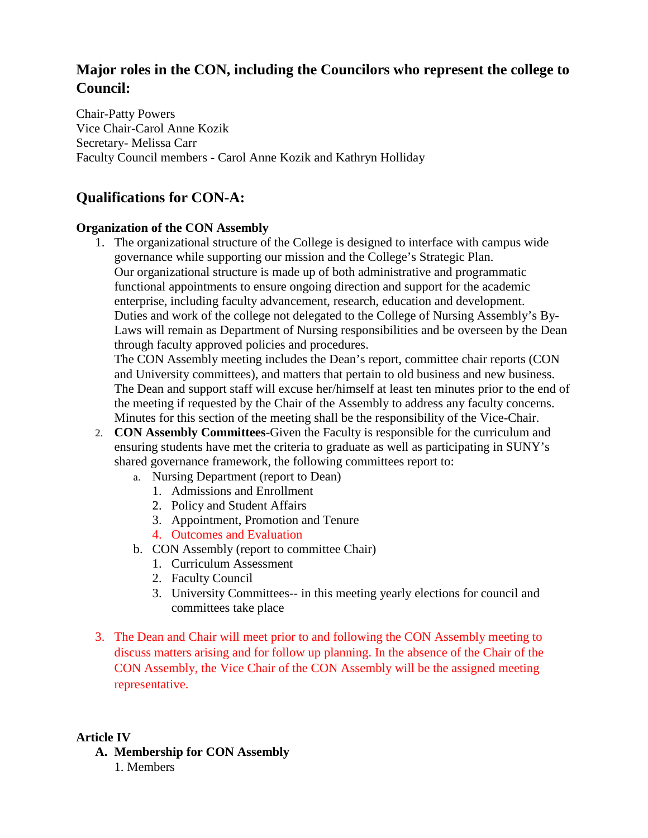## **Major roles in the CON, including the Councilors who represent the college to Council:**

Chair-Patty Powers Vice Chair-Carol Anne Kozik Secretary- Melissa Carr Faculty Council members - Carol Anne Kozik and Kathryn Holliday

## **Qualifications for CON-A:**

### **Organization of the CON Assembly**

1. The organizational structure of the College is designed to interface with campus wide governance while supporting our mission and the College's Strategic Plan. Our organizational structure is made up of both administrative and programmatic functional appointments to ensure ongoing direction and support for the academic enterprise, including faculty advancement, research, education and development. Duties and work of the college not delegated to the College of Nursing Assembly's By-Laws will remain as Department of Nursing responsibilities and be overseen by the Dean through faculty approved policies and procedures.

The CON Assembly meeting includes the Dean's report, committee chair reports (CON and University committees), and matters that pertain to old business and new business. The Dean and support staff will excuse her/himself at least ten minutes prior to the end of the meeting if requested by the Chair of the Assembly to address any faculty concerns. Minutes for this section of the meeting shall be the responsibility of the Vice-Chair.

- 2. **CON Assembly Committees**-Given the Faculty is responsible for the curriculum and ensuring students have met the criteria to graduate as well as participating in SUNY's shared governance framework, the following committees report to:
	- a. Nursing Department (report to Dean)
		- 1. Admissions and Enrollment
		- 2. Policy and Student Affairs
		- 3. Appointment, Promotion and Tenure
		- 4. Outcomes and Evaluation
	- b. CON Assembly (report to committee Chair)
		- 1. Curriculum Assessment
		- 2. Faculty Council
		- 3. University Committees-- in this meeting yearly elections for council and committees take place
- 3. The Dean and Chair will meet prior to and following the CON Assembly meeting to discuss matters arising and for follow up planning. In the absence of the Chair of the CON Assembly, the Vice Chair of the CON Assembly will be the assigned meeting representative.

### **Article IV**

**A. Membership for CON Assembly** 1. Members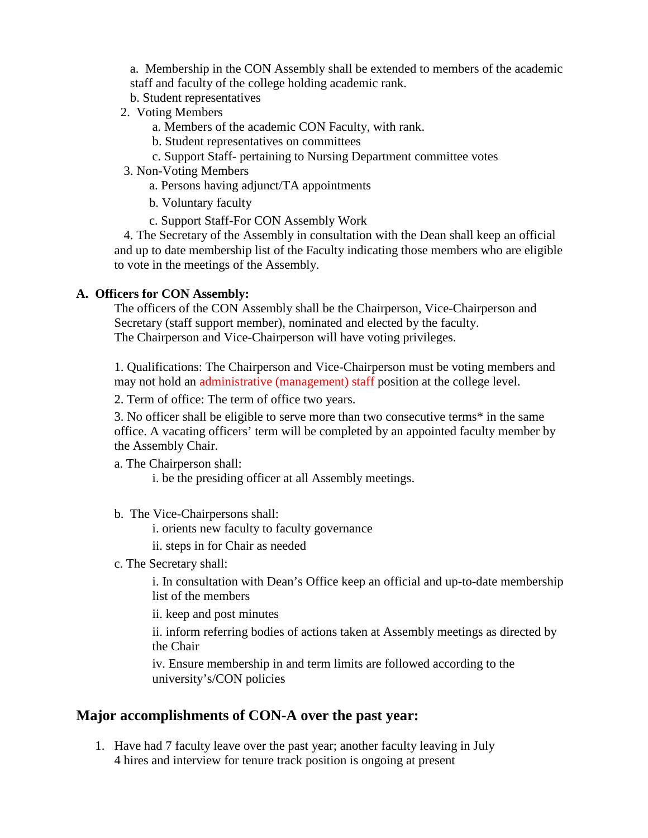a. Membership in the CON Assembly shall be extended to members of the academic staff and faculty of the college holding academic rank.

- b. Student representatives
- 2. Voting Members
	- a. Members of the academic CON Faculty, with rank.
	- b. Student representatives on committees
	- c. Support Staff- pertaining to Nursing Department committee votes
- 3. Non-Voting Members
	- a. Persons having adjunct/TA appointments
	- b. Voluntary faculty
	- c. Support Staff-For CON Assembly Work

 4. The Secretary of the Assembly in consultation with the Dean shall keep an official and up to date membership list of the Faculty indicating those members who are eligible to vote in the meetings of the Assembly.

### **A. Officers for CON Assembly:**

The officers of the CON Assembly shall be the Chairperson, Vice-Chairperson and Secretary (staff support member), nominated and elected by the faculty. The Chairperson and Vice-Chairperson will have voting privileges.

1. Qualifications: The Chairperson and Vice-Chairperson must be voting members and may not hold an administrative (management) staff position at the college level.

2. Term of office: The term of office two years.

3. No officer shall be eligible to serve more than two consecutive terms\* in the same office. A vacating officers' term will be completed by an appointed faculty member by the Assembly Chair.

a. The Chairperson shall:

i. be the presiding officer at all Assembly meetings.

b. The Vice-Chairpersons shall:

i. orients new faculty to faculty governance

ii. steps in for Chair as needed

c. The Secretary shall:

i. In consultation with Dean's Office keep an official and up-to-date membership list of the members

ii. keep and post minutes

ii. inform referring bodies of actions taken at Assembly meetings as directed by the Chair

iv. Ensure membership in and term limits are followed according to the university's/CON policies

### **Major accomplishments of CON-A over the past year:**

1. Have had 7 faculty leave over the past year; another faculty leaving in July 4 hires and interview for tenure track position is ongoing at present